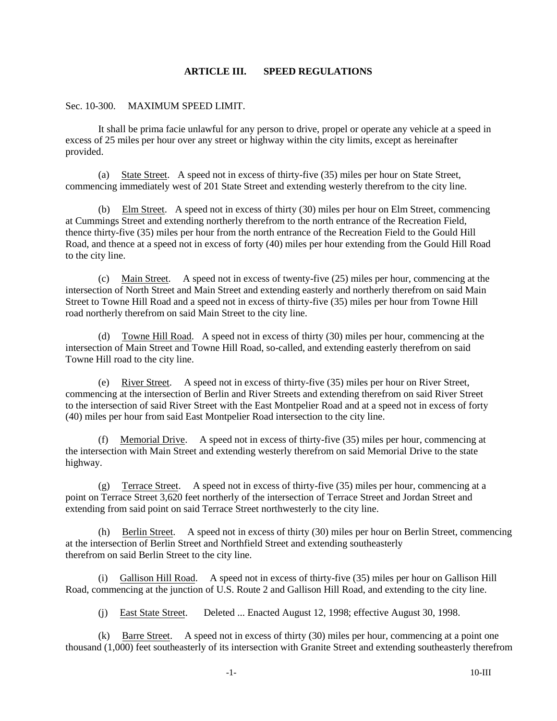## **ARTICLE III. SPEED REGULATIONS**

## Sec. 10-300. MAXIMUM SPEED LIMIT.

It shall be prima facie unlawful for any person to drive, propel or operate any vehicle at a speed in excess of 25 miles per hour over any street or highway within the city limits, except as hereinafter provided.

(a) State Street. A speed not in excess of thirty-five (35) miles per hour on State Street, commencing immediately west of 201 State Street and extending westerly therefrom to the city line.

(b) Elm Street. A speed not in excess of thirty (30) miles per hour on Elm Street, commencing at Cummings Street and extending northerly therefrom to the north entrance of the Recreation Field, thence thirty-five (35) miles per hour from the north entrance of the Recreation Field to the Gould Hill Road, and thence at a speed not in excess of forty (40) miles per hour extending from the Gould Hill Road to the city line.

(c) Main Street. A speed not in excess of twenty-five (25) miles per hour, commencing at the intersection of North Street and Main Street and extending easterly and northerly therefrom on said Main Street to Towne Hill Road and a speed not in excess of thirty-five (35) miles per hour from Towne Hill road northerly therefrom on said Main Street to the city line.

(d) Towne Hill Road. A speed not in excess of thirty (30) miles per hour, commencing at the intersection of Main Street and Towne Hill Road, so-called, and extending easterly therefrom on said Towne Hill road to the city line.

(e) River Street. A speed not in excess of thirty-five (35) miles per hour on River Street, commencing at the intersection of Berlin and River Streets and extending therefrom on said River Street to the intersection of said River Street with the East Montpelier Road and at a speed not in excess of forty (40) miles per hour from said East Montpelier Road intersection to the city line.

Memorial Drive. A speed not in excess of thirty-five (35) miles per hour, commencing at the intersection with Main Street and extending westerly therefrom on said Memorial Drive to the state highway.

(g) Terrace Street. A speed not in excess of thirty-five (35) miles per hour, commencing at a point on Terrace Street 3,620 feet northerly of the intersection of Terrace Street and Jordan Street and extending from said point on said Terrace Street northwesterly to the city line.

(h) Berlin Street. A speed not in excess of thirty (30) miles per hour on Berlin Street, commencing at the intersection of Berlin Street and Northfield Street and extending southeasterly therefrom on said Berlin Street to the city line.

(i) Gallison Hill Road. A speed not in excess of thirty-five (35) miles per hour on Gallison Hill Road, commencing at the junction of U.S. Route 2 and Gallison Hill Road, and extending to the city line.

(j) East State Street. Deleted ... Enacted August 12, 1998; effective August 30, 1998.

(k) Barre Street. A speed not in excess of thirty (30) miles per hour, commencing at a point one thousand (1,000) feet southeasterly of its intersection with Granite Street and extending southeasterly therefrom